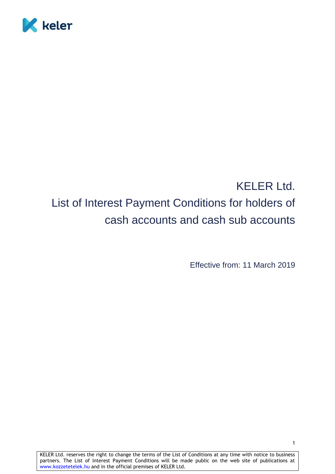

# KELER Ltd. List of Interest Payment Conditions for holders of cash accounts and cash sub accounts

Effective from: 11 March 2019

KELER Ltd. reserves the right to change the terms of the List of Conditions at any time with notice to business partners. The List of Interest Payment Conditions will be made public on the web site of publications at www.kozzetetelek.hu and in the official premises of KELER Ltd.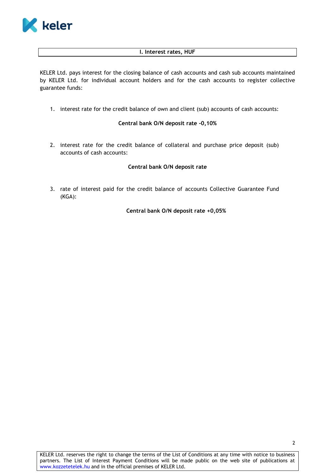

#### **I. Interest rates, HUF**

KELER Ltd. pays interest for the closing balance of cash accounts and cash sub accounts maintained by KELER Ltd. for individual account holders and for the cash accounts to register collective guarantee funds:

1. interest rate for the credit balance of own and client (sub) accounts of cash accounts:

## **Central bank O/N deposit rate -0,10%**

2. interest rate for the credit balance of collateral and purchase price deposit (sub) accounts of cash accounts:

## **Central bank O/N deposit rate**

3. rate of interest paid for the credit balance of accounts Collective Guarantee Fund (KGA):

 **Central bank O/N deposit rate +0,05%**

KELER Ltd. reserves the right to change the terms of the List of Conditions at any time with notice to business partners. The List of Interest Payment Conditions will be made public on the web site of publications at www.kozzetetelek.hu and in the official premises of KELER Ltd.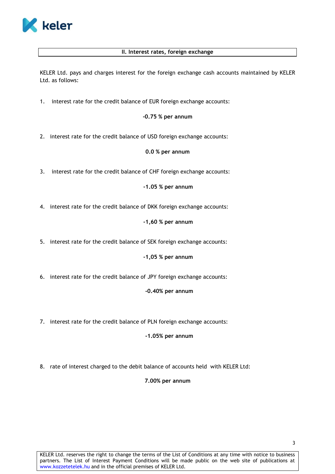

# **II. Interest rates, foreign exchange**

KELER Ltd. pays and charges interest for the foreign exchange cash accounts maintained by KELER Ltd. as follows:

1. interest rate for the credit balance of EUR foreign exchange accounts:

#### **-0.75 % per annum**

2. interest rate for the credit balance of USD foreign exchange accounts:

## **0.0 % per annum**

3. interest rate for the credit balance of CHF foreign exchange accounts:

 **-1.05 % per annum**

4. interest rate for the credit balance of DKK foreign exchange accounts:

 **-1,60 % per annum**

5. interest rate for the credit balance of SEK foreign exchange accounts:

 **-1,05 % per annum**

6. interest rate for the credit balance of JPY foreign exchange accounts:

#### **-0.40% per annum**

7. interest rate for the credit balance of PLN foreign exchange accounts:

#### **-1.05% per annum**

8. rate of interest charged to the debit balance of accounts held with KELER Ltd:

# **7.00% per annum**